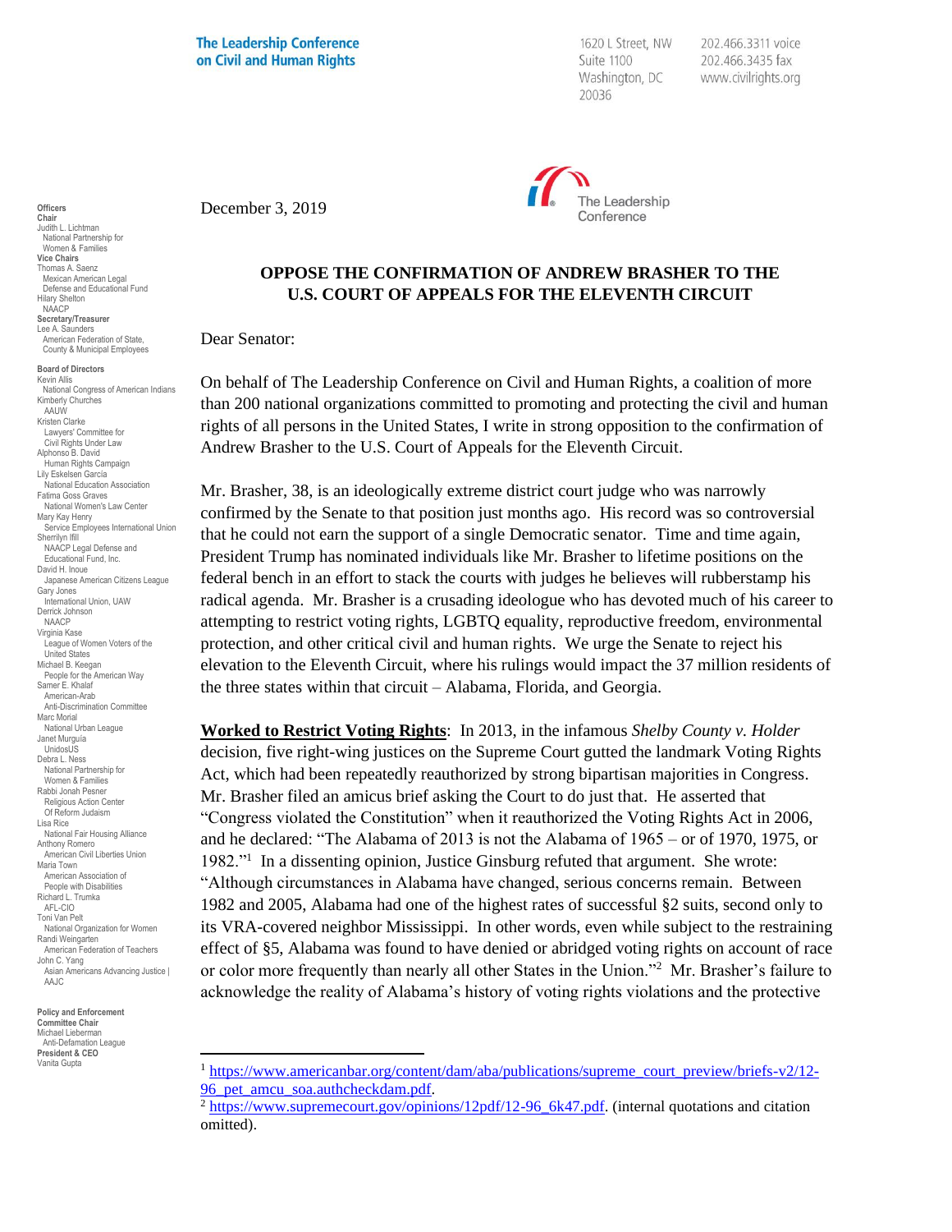**The Leadership Conference** on Civil and Human Rights

1620 L Street, NW Suite 1100 Washington, DC 20036

202.466.3311 voice 202.466.3435 fax www.civilrights.org



December 3, 2019

## **OPPOSE THE CONFIRMATION OF ANDREW BRASHER TO THE U.S. COURT OF APPEALS FOR THE ELEVENTH CIRCUIT**

Dear Senator:

On behalf of The Leadership Conference on Civil and Human Rights, a coalition of more than 200 national organizations committed to promoting and protecting the civil and human rights of all persons in the United States, I write in strong opposition to the confirmation of Andrew Brasher to the U.S. Court of Appeals for the Eleventh Circuit.

Mr. Brasher, 38, is an ideologically extreme district court judge who was narrowly confirmed by the Senate to that position just months ago. His record was so controversial that he could not earn the support of a single Democratic senator. Time and time again, President Trump has nominated individuals like Mr. Brasher to lifetime positions on the federal bench in an effort to stack the courts with judges he believes will rubberstamp his radical agenda. Mr. Brasher is a crusading ideologue who has devoted much of his career to attempting to restrict voting rights, LGBTQ equality, reproductive freedom, environmental protection, and other critical civil and human rights. We urge the Senate to reject his elevation to the Eleventh Circuit, where his rulings would impact the 37 million residents of the three states within that circuit – Alabama, Florida, and Georgia.

**Worked to Restrict Voting Rights**: In 2013, in the infamous *Shelby County v. Holder* decision, five right-wing justices on the Supreme Court gutted the landmark Voting Rights Act, which had been repeatedly reauthorized by strong bipartisan majorities in Congress. Mr. Brasher filed an amicus brief asking the Court to do just that. He asserted that "Congress violated the Constitution" when it reauthorized the Voting Rights Act in 2006, and he declared: "The Alabama of 2013 is not the Alabama of 1965 – or of 1970, 1975, or 1982."<sup>1</sup> In a dissenting opinion, Justice Ginsburg refuted that argument. She wrote: "Although circumstances in Alabama have changed, serious concerns remain. Between 1982 and 2005, Alabama had one of the highest rates of successful §2 suits, second only to its VRA-covered neighbor Mississippi. In other words, even while subject to the restraining effect of §5, Alabama was found to have denied or abridged voting rights on account of race or color more frequently than nearly all other States in the Union."<sup>2</sup> Mr. Brasher's failure to acknowledge the reality of Alabama's history of voting rights violations and the protective

**Policy and Enforcement Committee Chair** Michael Lieberman Anti-Defamation League **President & CEO** Vanita Gupta

**Officers Chair** Judith L. Lichtman National Partnership for Women & Families **Vice Chairs** Thomas A. Saenz Mexican American Legal Defense and Educational Fund Hilary Shelton NAACP **Secretary/Treasurer** Lee A. Saunders American Federation of State, County & Municipal Employees

**Board of Directors** Kevin Allis National Congress of American Indians Kimberly Churches AAUW Kristen Clarke Lawyers' Committee for Civil Rights Under Law Alphonso B. David Human Rights Campaign Lily Eskelsen García National Education Association Fatima Goss Graves National Women's Law Center Mary Kay Henry Service Employees International Union Sherrilyn Ifill NAACP Legal Defense and Educational Fund, Inc. David H. Inoue Japanese American Citizens League Gary Jones International Union, UAW Derrick Johnson NAACP Virginia Kase League of Women Voters of the United States Michael B. Keegan People for the American Way Samer E. Khalaf American-Arab Anti-Discrimination Committee Marc Morial National Urban League Janet Murguía UnidosUS Debra L. Ness National Partnership for Women & Families Rabbi Jonah Pesner Religious Action Center Of Reform Judaism Lisa Rice National Fair Housing Alliance Anthony Romero American Civil Liberties Union Maria Town American Association of People with Disabilities Richard L. Trumka AFL-CIO Toni Van Pelt National Organization for Women Randi Weingarten American Federation of Teachers John C. Yang Asian Americans Advancing Justice | AAJC

<sup>1</sup> [https://www.americanbar.org/content/dam/aba/publications/supreme\\_court\\_preview/briefs-v2/12-](https://www.americanbar.org/content/dam/aba/publications/supreme_court_preview/briefs-v2/12-96_pet_amcu_soa.authcheckdam.pdf) 96 pet amcu soa.authcheckdam.pdf.

<sup>&</sup>lt;sup>2</sup> [https://www.supremecourt.gov/opinions/12pdf/12-96\\_6k47.pdf.](https://www.supremecourt.gov/opinions/12pdf/12-96_6k47.pdf) (internal quotations and citation omitted).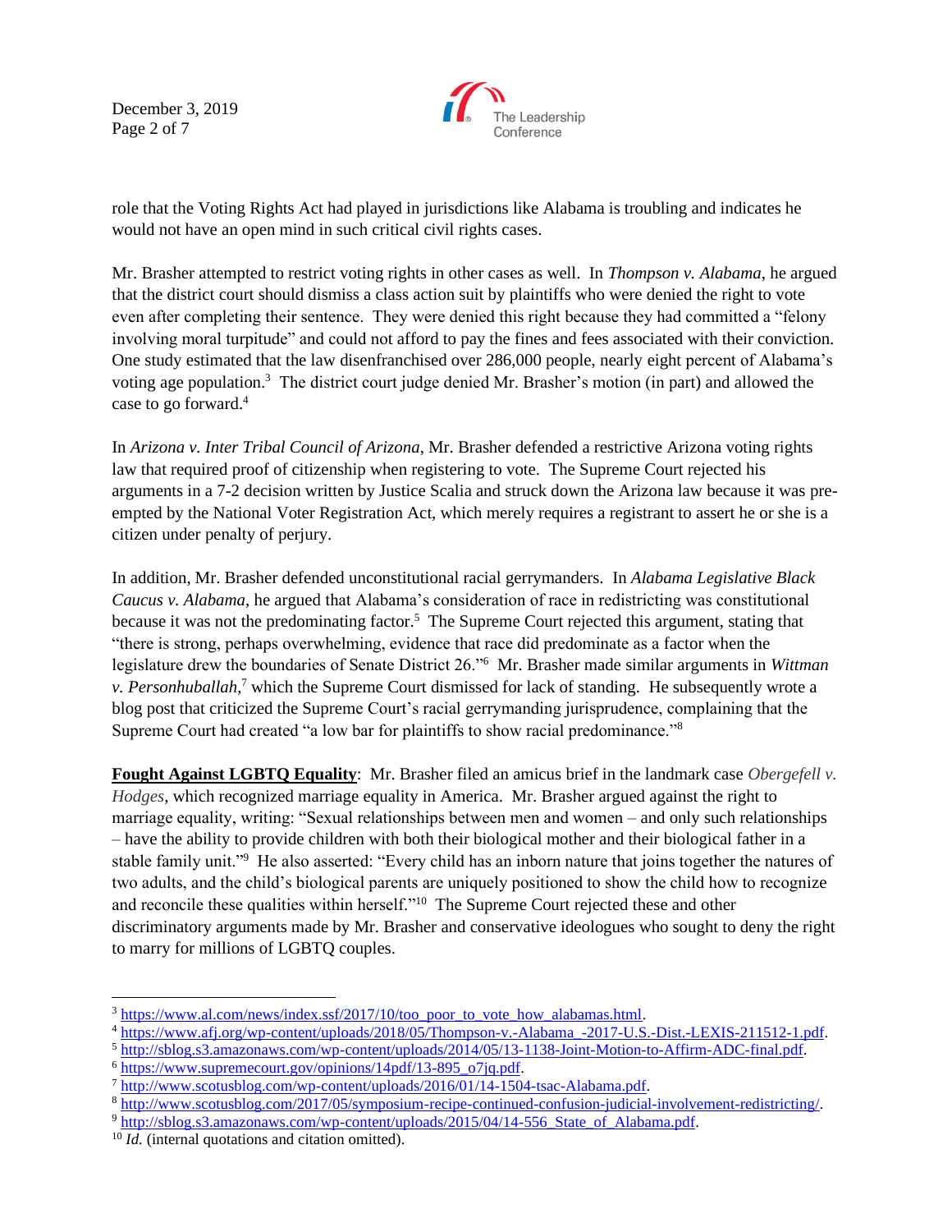December 3, 2019 Page 2 of 7



role that the Voting Rights Act had played in jurisdictions like Alabama is troubling and indicates he would not have an open mind in such critical civil rights cases.

Mr. Brasher attempted to restrict voting rights in other cases as well. In *Thompson v. Alabama*, he argued that the district court should dismiss a class action suit by plaintiffs who were denied the right to vote even after completing their sentence. They were denied this right because they had committed a "felony involving moral turpitude" and could not afford to pay the fines and fees associated with their conviction. One study estimated that the law disenfranchised over 286,000 people, nearly eight percent of Alabama's voting age population.<sup>3</sup> The district court judge denied Mr. Brasher's motion (in part) and allowed the case to go forward.<sup>4</sup>

In *Arizona v. Inter Tribal Council of Arizona*, Mr. Brasher defended a restrictive Arizona voting rights law that required proof of citizenship when registering to vote. The Supreme Court rejected his arguments in a 7-2 decision written by Justice Scalia and struck down the Arizona law because it was preempted by the National Voter Registration Act, which merely requires a registrant to assert he or she is a citizen under penalty of perjury.

In addition, Mr. Brasher defended unconstitutional racial gerrymanders. In *Alabama Legislative Black Caucus v. Alabama*, he argued that Alabama's consideration of race in redistricting was constitutional because it was not the predominating factor.<sup>5</sup> The Supreme Court rejected this argument, stating that "there is strong, perhaps overwhelming, evidence that race did predominate as a factor when the legislature drew the boundaries of Senate District 26."<sup>6</sup> Mr. Brasher made similar arguments in *Wittman v. Personhuballah*, <sup>7</sup> which the Supreme Court dismissed for lack of standing. He subsequently wrote a blog post that criticized the Supreme Court's racial gerrymanding jurisprudence, complaining that the Supreme Court had created "a low bar for plaintiffs to show racial predominance."<sup>8</sup>

**Fought Against LGBTQ Equality**: Mr. Brasher filed an amicus brief in the landmark case *Obergefell v. Hodges*, which recognized marriage equality in America. Mr. Brasher argued against the right to marriage equality, writing: "Sexual relationships between men and women – and only such relationships – have the ability to provide children with both their biological mother and their biological father in a stable family unit."<sup>9</sup> He also asserted: "Every child has an inborn nature that joins together the natures of two adults, and the child's biological parents are uniquely positioned to show the child how to recognize and reconcile these qualities within herself."<sup>10</sup> The Supreme Court rejected these and other discriminatory arguments made by Mr. Brasher and conservative ideologues who sought to deny the right to marry for millions of LGBTQ couples.

<sup>&</sup>lt;sup>3</sup> https://www.al.com/news/index.ssf/2017/10/too\_poor\_to\_vote\_how\_alabamas.html.

<sup>4</sup> [https://www.afj.org/wp-content/uploads/2018/05/Thompson-v.-Alabama\\_-2017-U.S.-Dist.-LEXIS-211512-1.pdf.](https://www.afj.org/wp-content/uploads/2018/05/Thompson-v.-Alabama_-2017-U.S.-Dist.-LEXIS-211512-1.pdf)

<sup>5</sup> [http://sblog.s3.amazonaws.com/wp-content/uploads/2014/05/13-1138-Joint-Motion-to-Affirm-ADC-final.pdf.](http://sblog.s3.amazonaws.com/wp-content/uploads/2014/05/13-1138-Joint-Motion-to-Affirm-ADC-final.pdf)

<sup>6</sup> [https://www.supremecourt.gov/opinions/14pdf/13-895\\_o7jq.pdf.](https://www.supremecourt.gov/opinions/14pdf/13-895_o7jq.pdf)

<sup>7</sup> [http://www.scotusblog.com/wp-content/uploads/2016/01/14-1504-tsac-Alabama.pdf.](http://www.scotusblog.com/wp-content/uploads/2016/01/14-1504-tsac-Alabama.pdf)

<sup>8</sup> [http://www.scotusblog.com/2017/05/symposium-recipe-continued-confusion-judicial-involvement-redistricting/.](http://www.scotusblog.com/2017/05/symposium-recipe-continued-confusion-judicial-involvement-redistricting/)

<sup>9</sup> http://sblog.s3.amazonaws.com/wp-content/uploads/2015/04/14-556 State of Alabama.pdf.

<sup>&</sup>lt;sup>10</sup> *Id.* (internal quotations and citation omitted).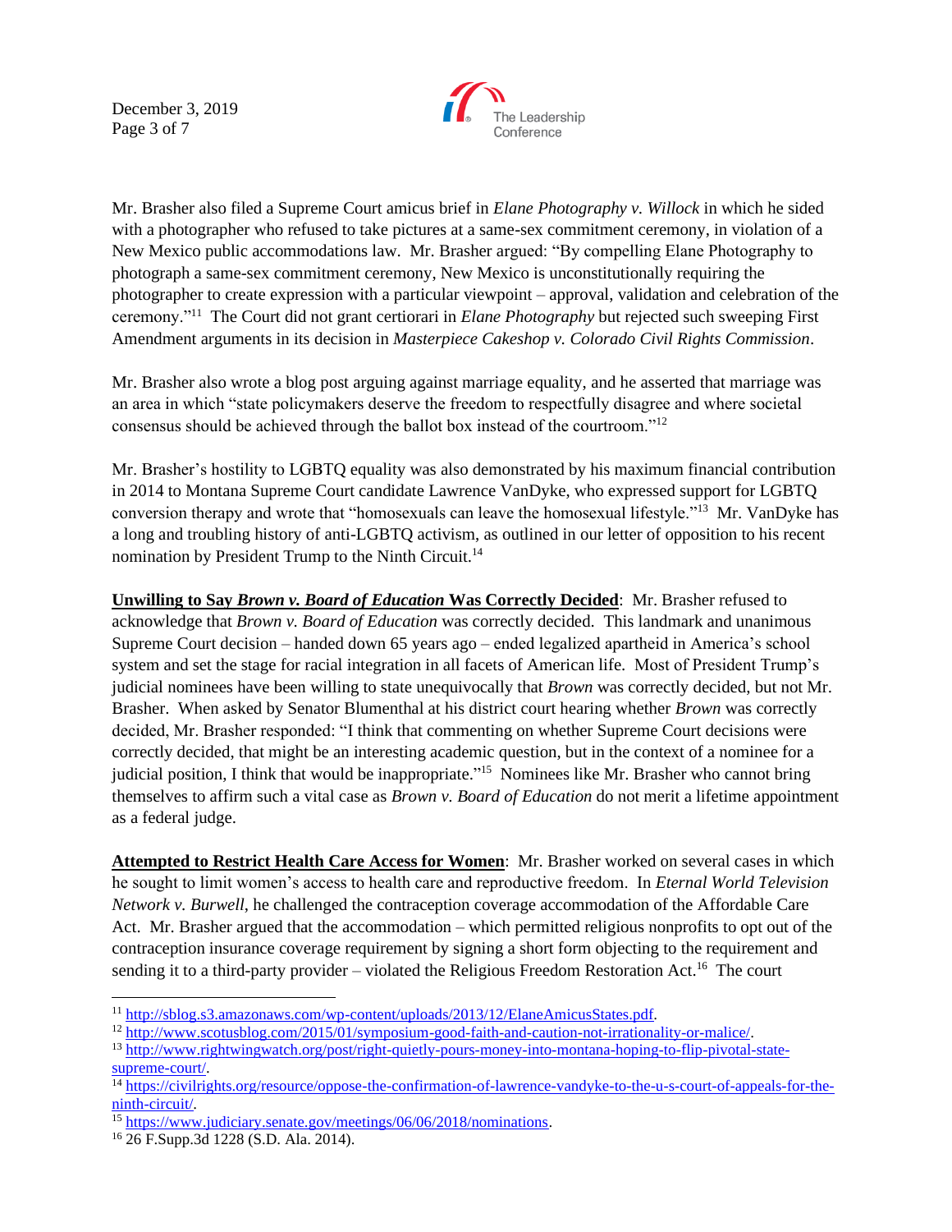December 3, 2019 Page 3 of 7



Mr. Brasher also filed a Supreme Court amicus brief in *Elane Photography v. Willock* in which he sided with a photographer who refused to take pictures at a same-sex commitment ceremony, in violation of a New Mexico public accommodations law. Mr. Brasher argued: "By compelling Elane Photography to photograph a same-sex commitment ceremony, New Mexico is unconstitutionally requiring the photographer to create expression with a particular viewpoint – approval, validation and celebration of the ceremony."<sup>11</sup> The Court did not grant certiorari in *Elane Photography* but rejected such sweeping First Amendment arguments in its decision in *Masterpiece Cakeshop v. Colorado Civil Rights Commission*.

Mr. Brasher also wrote a blog post arguing against marriage equality, and he asserted that marriage was an area in which "state policymakers deserve the freedom to respectfully disagree and where societal consensus should be achieved through the ballot box instead of the courtroom."<sup>12</sup>

Mr. Brasher's hostility to LGBTQ equality was also demonstrated by his maximum financial contribution in 2014 to Montana Supreme Court candidate Lawrence VanDyke, who expressed support for LGBTQ conversion therapy and wrote that "homosexuals can leave the homosexual lifestyle."<sup>13</sup> Mr. VanDyke has a long and troubling history of anti-LGBTQ activism, as outlined in our letter of opposition to his recent nomination by President Trump to the Ninth Circuit.<sup>14</sup>

**Unwilling to Say** *Brown v. Board of Education* **Was Correctly Decided**: Mr. Brasher refused to acknowledge that *Brown v. Board of Education* was correctly decided. This landmark and unanimous Supreme Court decision – handed down 65 years ago – ended legalized apartheid in America's school system and set the stage for racial integration in all facets of American life. Most of President Trump's judicial nominees have been willing to state unequivocally that *Brown* was correctly decided, but not Mr. Brasher. When asked by Senator Blumenthal at his district court hearing whether *Brown* was correctly decided, Mr. Brasher responded: "I think that commenting on whether Supreme Court decisions were correctly decided, that might be an interesting academic question, but in the context of a nominee for a judicial position, I think that would be inappropriate."<sup>15</sup> Nominees like Mr. Brasher who cannot bring themselves to affirm such a vital case as *Brown v. Board of Education* do not merit a lifetime appointment as a federal judge.

**Attempted to Restrict Health Care Access for Women**: Mr. Brasher worked on several cases in which he sought to limit women's access to health care and reproductive freedom. In *Eternal World Television Network v. Burwell*, he challenged the contraception coverage accommodation of the Affordable Care Act. Mr. Brasher argued that the accommodation – which permitted religious nonprofits to opt out of the contraception insurance coverage requirement by signing a short form objecting to the requirement and sending it to a third-party provider – violated the Religious Freedom Restoration Act.<sup>16</sup> The court

<sup>11</sup> [http://sblog.s3.amazonaws.com/wp-content/uploads/2013/12/ElaneAmicusStates.pdf.](http://sblog.s3.amazonaws.com/wp-content/uploads/2013/12/ElaneAmicusStates.pdf)

<sup>12</sup> [http://www.scotusblog.com/2015/01/symposium-good-faith-and-caution-not-irrationality-or-malice/.](http://www.scotusblog.com/2015/01/symposium-good-faith-and-caution-not-irrationality-or-malice/)

<sup>13</sup> [http://www.rightwingwatch.org/post/right-quietly-pours-money-into-montana-hoping-to-flip-pivotal-state](http://www.rightwingwatch.org/post/right-quietly-pours-money-into-montana-hoping-to-flip-pivotal-state-supreme-court/)[supreme-court/.](http://www.rightwingwatch.org/post/right-quietly-pours-money-into-montana-hoping-to-flip-pivotal-state-supreme-court/)

<sup>14</sup> [https://civilrights.org/resource/oppose-the-confirmation-of-lawrence-vandyke-to-the-u-s-court-of-appeals-for-the](https://civilrights.org/resource/oppose-the-confirmation-of-lawrence-vandyke-to-the-u-s-court-of-appeals-for-the-ninth-circuit/)[ninth-circuit/.](https://civilrights.org/resource/oppose-the-confirmation-of-lawrence-vandyke-to-the-u-s-court-of-appeals-for-the-ninth-circuit/)

<sup>&</sup>lt;sup>15</sup> [https://www.judiciary.senate.gov/meetings/06/06/2018/nominations.](https://www.judiciary.senate.gov/meetings/06/06/2018/nominations)

<sup>16</sup> 26 F.Supp.3d 1228 (S.D. Ala. 2014).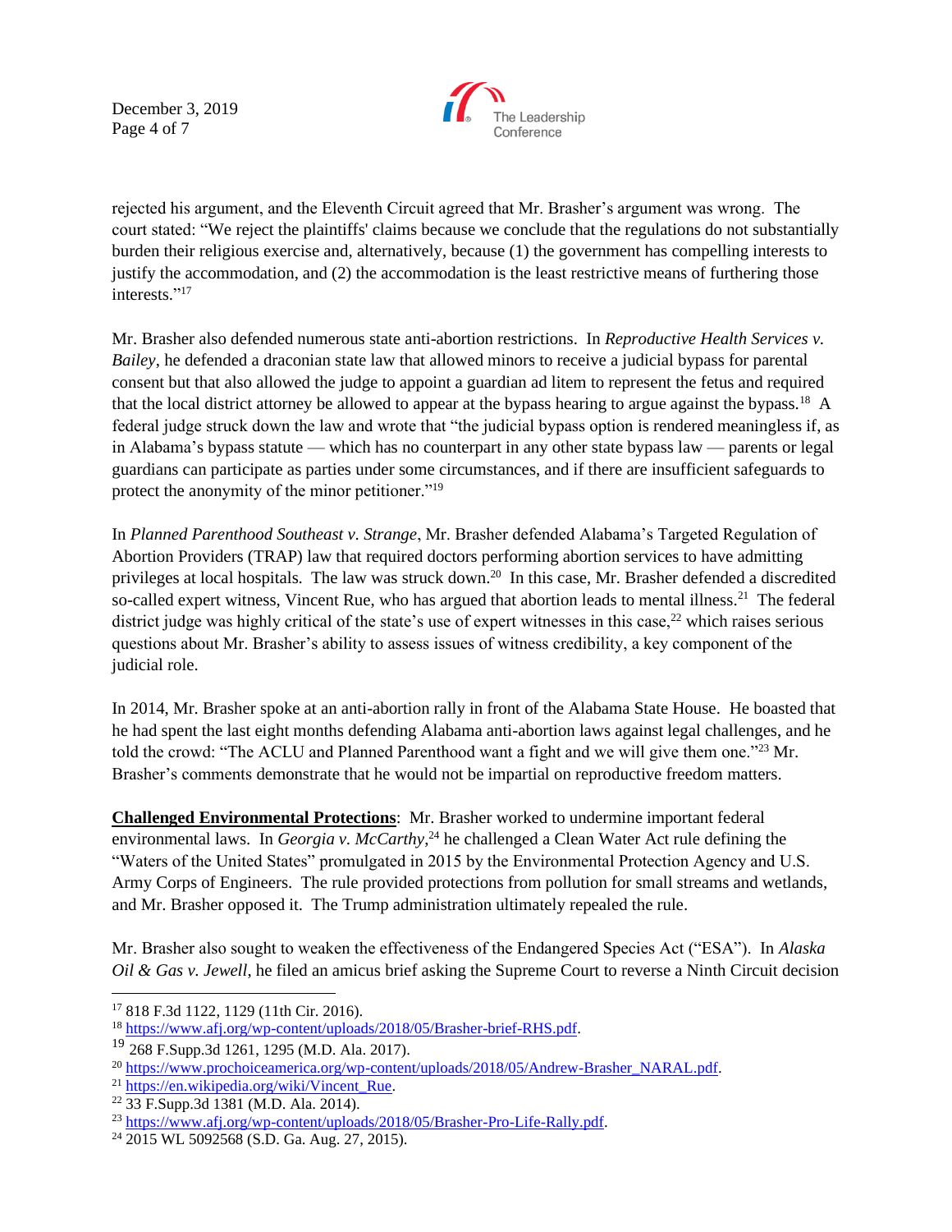December 3, 2019 Page 4 of 7



rejected his argument, and the Eleventh Circuit agreed that Mr. Brasher's argument was wrong. The court stated: "We reject the plaintiffs' claims because we conclude that the regulations do not substantially burden their religious exercise and, alternatively, because (1) the government has compelling interests to justify the accommodation, and (2) the accommodation is the least restrictive means of furthering those interests."<sup>17</sup>

Mr. Brasher also defended numerous state anti-abortion restrictions. In *Reproductive Health Services v. Bailey*, he defended a draconian state law that allowed minors to receive a judicial bypass for parental consent but that also allowed the judge to appoint a guardian ad litem to represent the fetus and required that the local district attorney be allowed to appear at the bypass hearing to argue against the bypass.<sup>18</sup> A federal judge struck down the law and wrote that "the judicial bypass option is rendered meaningless if, as in Alabama's bypass statute — which has no counterpart in any other state bypass law — parents or legal guardians can participate as parties under some circumstances, and if there are insufficient safeguards to protect the anonymity of the minor petitioner."<sup>19</sup>

In *Planned Parenthood Southeast v. Strange*, Mr. Brasher defended Alabama's Targeted Regulation of Abortion Providers (TRAP) law that required doctors performing abortion services to have admitting privileges at local hospitals. The law was struck down.<sup>20</sup> In this case, Mr. Brasher defended a discredited so-called expert witness, Vincent Rue, who has argued that abortion leads to mental illness.<sup>21</sup> The federal district judge was highly critical of the state's use of expert witnesses in this case,<sup>22</sup> which raises serious questions about Mr. Brasher's ability to assess issues of witness credibility, a key component of the judicial role.

In 2014, Mr. Brasher spoke at an anti-abortion rally in front of the Alabama State House. He boasted that he had spent the last eight months defending Alabama anti-abortion laws against legal challenges, and he told the crowd: "The ACLU and Planned Parenthood want a fight and we will give them one."<sup>23</sup> Mr. Brasher's comments demonstrate that he would not be impartial on reproductive freedom matters.

**Challenged Environmental Protections**: Mr. Brasher worked to undermine important federal environmental laws. In *Georgia v. McCarthy*, <sup>24</sup> he challenged a Clean Water Act rule defining the "Waters of the United States" promulgated in 2015 by the Environmental Protection Agency and U.S. Army Corps of Engineers. The rule provided protections from pollution for small streams and wetlands, and Mr. Brasher opposed it. The Trump administration ultimately repealed the rule.

Mr. Brasher also sought to weaken the effectiveness of the Endangered Species Act ("ESA"). In *Alaska Oil & Gas v. Jewell*, he filed an amicus brief asking the Supreme Court to reverse a Ninth Circuit decision

<sup>17</sup> 818 F.3d 1122, 1129 (11th Cir. 2016).

<sup>&</sup>lt;sup>18</sup> [https://www.afj.org/wp-content/uploads/2018/05/Brasher-brief-RHS.pdf.](https://www.afj.org/wp-content/uploads/2018/05/Brasher-brief-RHS.pdf)

<sup>19</sup> 268 F.Supp.3d 1261, 1295 (M.D. Ala. 2017).

<sup>&</sup>lt;sup>20</sup> [https://www.prochoiceamerica.org/wp-content/uploads/2018/05/Andrew-Brasher\\_NARAL.pdf.](https://www.prochoiceamerica.org/wp-content/uploads/2018/05/Andrew-Brasher_NARAL.pdf)

<sup>&</sup>lt;sup>21</sup> [https://en.wikipedia.org/wiki/Vincent\\_Rue.](https://en.wikipedia.org/wiki/Vincent_Rue)

<sup>22</sup> 33 F.Supp.3d 1381 (M.D. Ala. 2014).

<sup>23</sup> [https://www.afj.org/wp-content/uploads/2018/05/Brasher-Pro-Life-Rally.pdf.](https://www.afj.org/wp-content/uploads/2018/05/Brasher-Pro-Life-Rally.pdf)

<sup>24</sup> 2015 WL 5092568 (S.D. Ga. Aug. 27, 2015).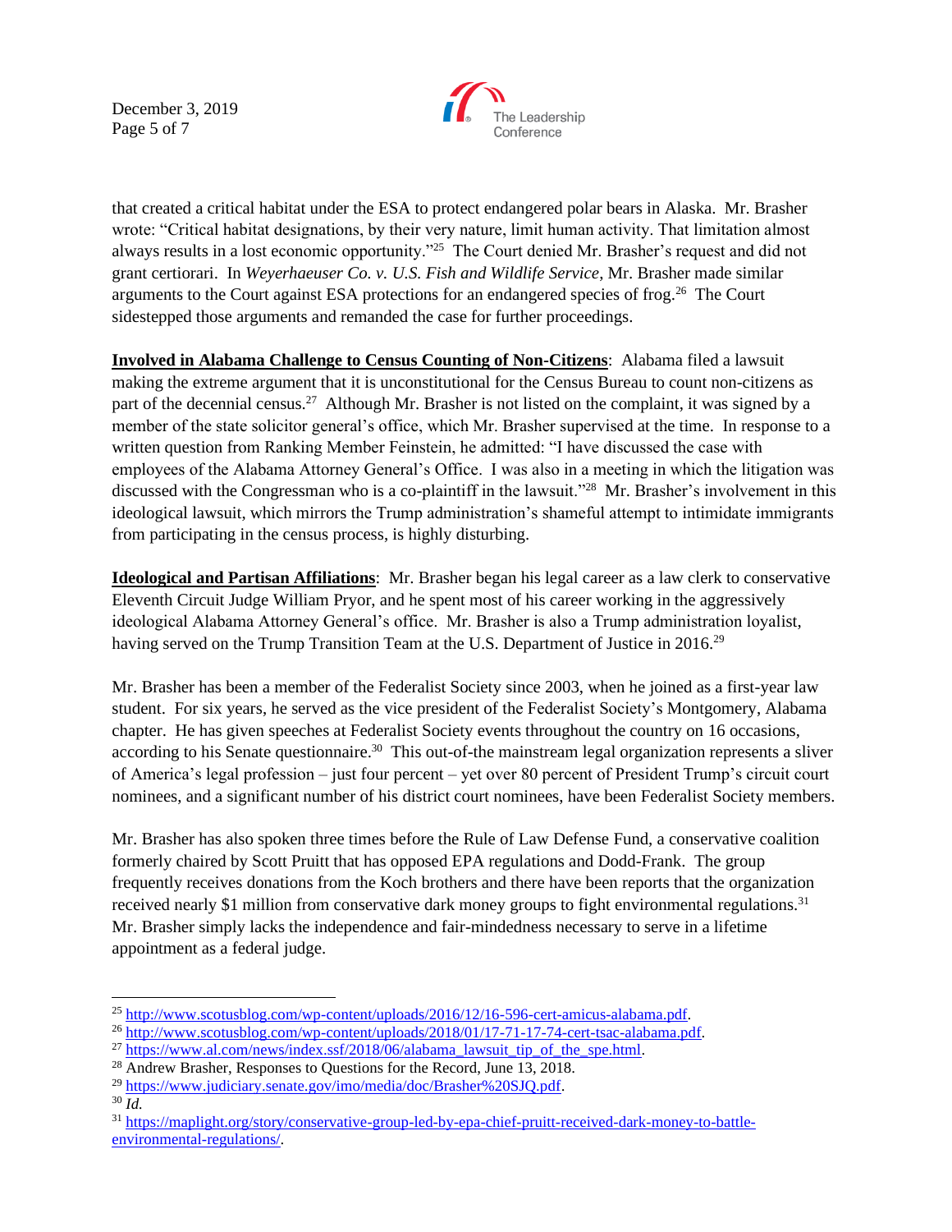December 3, 2019 Page 5 of 7



that created a critical habitat under the ESA to protect endangered polar bears in Alaska. Mr. Brasher wrote: "Critical habitat designations, by their very nature, limit human activity. That limitation almost always results in a lost economic opportunity."<sup>25</sup> The Court denied Mr. Brasher's request and did not grant certiorari. In *Weyerhaeuser Co. v. U.S. Fish and Wildlife Service*, Mr. Brasher made similar arguments to the Court against ESA protections for an endangered species of frog.<sup>26</sup> The Court sidestepped those arguments and remanded the case for further proceedings.

**Involved in Alabama Challenge to Census Counting of Non-Citizens**: Alabama filed a lawsuit making the extreme argument that it is unconstitutional for the Census Bureau to count non-citizens as part of the decennial census.<sup>27</sup> Although Mr. Brasher is not listed on the complaint, it was signed by a member of the state solicitor general's office, which Mr. Brasher supervised at the time. In response to a written question from Ranking Member Feinstein, he admitted: "I have discussed the case with employees of the Alabama Attorney General's Office. I was also in a meeting in which the litigation was discussed with the Congressman who is a co-plaintiff in the lawsuit."<sup>28</sup> Mr. Brasher's involvement in this ideological lawsuit, which mirrors the Trump administration's shameful attempt to intimidate immigrants from participating in the census process, is highly disturbing.

**Ideological and Partisan Affiliations**: Mr. Brasher began his legal career as a law clerk to conservative Eleventh Circuit Judge William Pryor, and he spent most of his career working in the aggressively ideological Alabama Attorney General's office. Mr. Brasher is also a Trump administration loyalist, having served on the Trump Transition Team at the U.S. Department of Justice in 2016.<sup>29</sup>

Mr. Brasher has been a member of the Federalist Society since 2003, when he joined as a first-year law student. For six years, he served as the vice president of the Federalist Society's Montgomery, Alabama chapter. He has given speeches at Federalist Society events throughout the country on 16 occasions, according to his Senate questionnaire.<sup>30</sup> This out-of-the mainstream legal organization represents a sliver of America's legal profession – just four percent – yet over 80 percent of President Trump's circuit court nominees, and a significant number of his district court nominees, have been Federalist Society members.

Mr. Brasher has also spoken three times before the Rule of Law Defense Fund, a conservative coalition formerly chaired by Scott Pruitt that has opposed EPA regulations and Dodd-Frank. The group frequently receives donations from the Koch brothers and there have been reports that the organization received nearly \$1 million from conservative dark money groups to fight environmental regulations.<sup>31</sup> Mr. Brasher simply lacks the independence and fair-mindedness necessary to serve in a lifetime appointment as a federal judge.

<sup>&</sup>lt;sup>25</sup> http://www.scotusblog.com/wp-content/uploads/2016/12/16-596-cert-amicus-alabama.pdf.

<sup>26</sup> [http://www.scotusblog.com/wp-content/uploads/2018/01/17-71-17-74-cert-tsac-alabama.pdf.](http://www.scotusblog.com/wp-content/uploads/2018/01/17-71-17-74-cert-tsac-alabama.pdf)

 $^{27}$  [https://www.al.com/news/index.ssf/2018/06/alabama\\_lawsuit\\_tip\\_of\\_the\\_spe.html.](https://www.al.com/news/index.ssf/2018/06/alabama_lawsuit_tip_of_the_spe.html)

<sup>&</sup>lt;sup>28</sup> Andrew Brasher, Responses to Ouestions for the Record, June 13, 2018.

<sup>&</sup>lt;sup>29</sup> https://www.judiciary.senate.gov/imo/media/doc/Brasher%20SJO.pdf.

<sup>30</sup> *Id.*

<sup>31</sup> [https://maplight.org/story/conservative-group-led-by-epa-chief-pruitt-received-dark-money-to-battle](https://maplight.org/story/conservative-group-led-by-epa-chief-pruitt-received-dark-money-to-battle-environmental-regulations/)[environmental-regulations/.](https://maplight.org/story/conservative-group-led-by-epa-chief-pruitt-received-dark-money-to-battle-environmental-regulations/)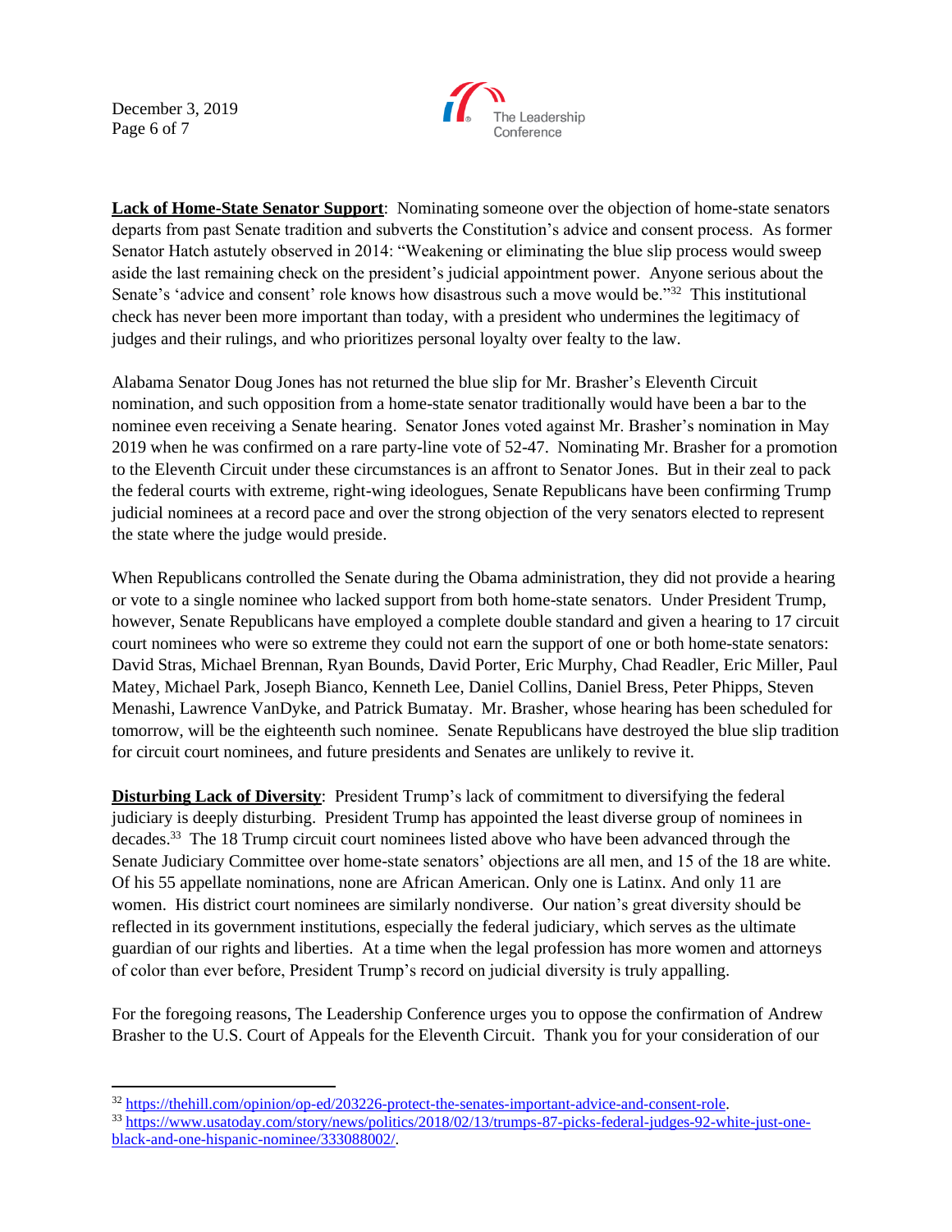December 3, 2019 Page 6 of 7



**Lack of Home-State Senator Support**: Nominating someone over the objection of home-state senators departs from past Senate tradition and subverts the Constitution's advice and consent process. As former Senator Hatch astutely observed in 2014: "Weakening or eliminating the blue slip process would sweep aside the last remaining check on the president's judicial appointment power. Anyone serious about the Senate's 'advice and consent' role knows how disastrous such a move would be."<sup>32</sup> This institutional check has never been more important than today, with a president who undermines the legitimacy of judges and their rulings, and who prioritizes personal loyalty over fealty to the law.

Alabama Senator Doug Jones has not returned the blue slip for Mr. Brasher's Eleventh Circuit nomination, and such opposition from a home-state senator traditionally would have been a bar to the nominee even receiving a Senate hearing. Senator Jones voted against Mr. Brasher's nomination in May 2019 when he was confirmed on a rare party-line vote of 52-47. Nominating Mr. Brasher for a promotion to the Eleventh Circuit under these circumstances is an affront to Senator Jones. But in their zeal to pack the federal courts with extreme, right-wing ideologues, Senate Republicans have been confirming Trump judicial nominees at a record pace and over the strong objection of the very senators elected to represent the state where the judge would preside.

When Republicans controlled the Senate during the Obama administration, they did not provide a hearing or vote to a single nominee who lacked support from both home-state senators. Under President Trump, however, Senate Republicans have employed a complete double standard and given a hearing to 17 circuit court nominees who were so extreme they could not earn the support of one or both home-state senators: David Stras, Michael Brennan, Ryan Bounds, David Porter, Eric Murphy, Chad Readler, Eric Miller, Paul Matey, Michael Park, Joseph Bianco, Kenneth Lee, Daniel Collins, Daniel Bress, Peter Phipps, Steven Menashi, Lawrence VanDyke, and Patrick Bumatay. Mr. Brasher, whose hearing has been scheduled for tomorrow, will be the eighteenth such nominee. Senate Republicans have destroyed the blue slip tradition for circuit court nominees, and future presidents and Senates are unlikely to revive it.

**Disturbing Lack of Diversity**: President Trump's lack of commitment to diversifying the federal judiciary is deeply disturbing. President Trump has appointed the least diverse group of nominees in decades.<sup>33</sup> The 18 Trump circuit court nominees listed above who have been advanced through the Senate Judiciary Committee over home-state senators' objections are all men, and 15 of the 18 are white. Of his 55 appellate nominations, none are African American. Only one is Latinx. And only 11 are women. His district court nominees are similarly nondiverse. Our nation's great diversity should be reflected in its government institutions, especially the federal judiciary, which serves as the ultimate guardian of our rights and liberties. At a time when the legal profession has more women and attorneys of color than ever before, President Trump's record on judicial diversity is truly appalling.

For the foregoing reasons, The Leadership Conference urges you to oppose the confirmation of Andrew Brasher to the U.S. Court of Appeals for the Eleventh Circuit. Thank you for your consideration of our

<sup>32</sup> [https://thehill.com/opinion/op-ed/203226-protect-the-senates-important-advice-and-consent-role.](https://thehill.com/opinion/op-ed/203226-protect-the-senates-important-advice-and-consent-role)

<sup>33</sup> [https://www.usatoday.com/story/news/politics/2018/02/13/trumps-87-picks-federal-judges-92-white-just-one](https://www.usatoday.com/story/news/politics/2018/02/13/trumps-87-picks-federal-judges-92-white-just-one-black-and-one-hispanic-nominee/333088002/)[black-and-one-hispanic-nominee/333088002/.](https://www.usatoday.com/story/news/politics/2018/02/13/trumps-87-picks-federal-judges-92-white-just-one-black-and-one-hispanic-nominee/333088002/)